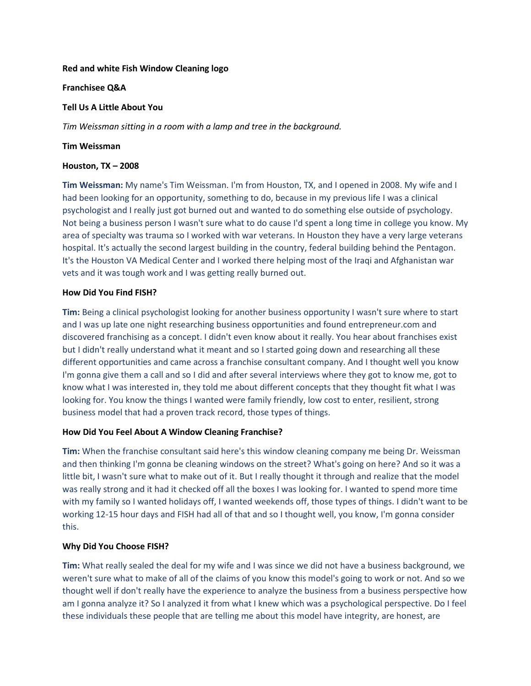### **Red and white Fish Window Cleaning logo**

### **Franchisee Q&A**

# **Tell Us A Little About You**

*Tim Weissman sitting in a room with a lamp and tree in the background.*

## **Tim Weissman**

## **Houston, TX – 2008**

**Tim Weissman:** My name's Tim Weissman. I'm from Houston, TX, and I opened in 2008. My wife and I had been looking for an opportunity, something to do, because in my previous life I was a clinical psychologist and I really just got burned out and wanted to do something else outside of psychology. Not being a business person I wasn't sure what to do cause I'd spent a long time in college you know. My area of specialty was trauma so I worked with war veterans. In Houston they have a very large veterans hospital. It's actually the second largest building in the country, federal building behind the Pentagon. It's the Houston VA Medical Center and I worked there helping most of the Iraqi and Afghanistan war vets and it was tough work and I was getting really burned out.

# **How Did You Find FISH?**

**Tim:** Being a clinical psychologist looking for another business opportunity I wasn't sure where to start and I was up late one night researching business opportunities and found entrepreneur.com and discovered franchising as a concept. I didn't even know about it really. You hear about franchises exist but I didn't really understand what it meant and so I started going down and researching all these different opportunities and came across a franchise consultant company. And I thought well you know I'm gonna give them a call and so I did and after several interviews where they got to know me, got to know what I was interested in, they told me about different concepts that they thought fit what I was looking for. You know the things I wanted were family friendly, low cost to enter, resilient, strong business model that had a proven track record, those types of things.

# **How Did You Feel About A Window Cleaning Franchise?**

**Tim:** When the franchise consultant said here's this window cleaning company me being Dr. Weissman and then thinking I'm gonna be cleaning windows on the street? What's going on here? And so it was a little bit, I wasn't sure what to make out of it. But I really thought it through and realize that the model was really strong and it had it checked off all the boxes I was looking for. I wanted to spend more time with my family so I wanted holidays off, I wanted weekends off, those types of things. I didn't want to be working 12-15 hour days and FISH had all of that and so I thought well, you know, I'm gonna consider this.

# **Why Did You Choose FISH?**

**Tim:** What really sealed the deal for my wife and I was since we did not have a business background, we weren't sure what to make of all of the claims of you know this model's going to work or not. And so we thought well if don't really have the experience to analyze the business from a business perspective how am I gonna analyze it? So I analyzed it from what I knew which was a psychological perspective. Do I feel these individuals these people that are telling me about this model have integrity, are honest, are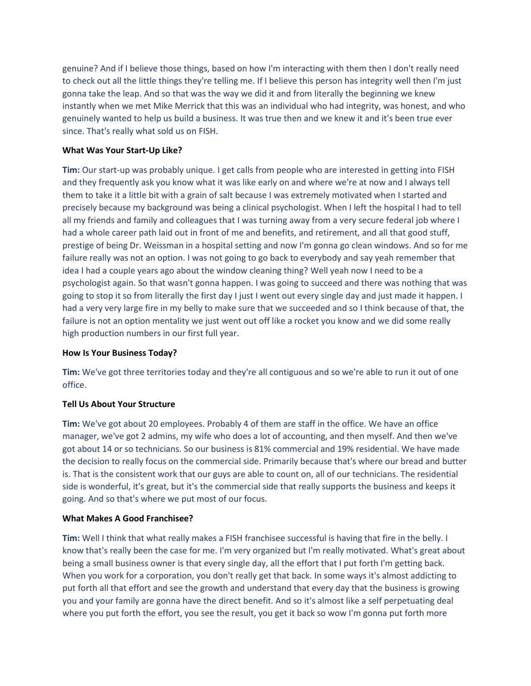genuine? And if I believe those things, based on how I'm interacting with them then I don't really need to check out all the little things they're telling me. If I believe this person has integrity well then I'm just gonna take the leap. And so that was the way we did it and from literally the beginning we knew instantly when we met Mike Merrick that this was an individual who had integrity, was honest, and who genuinely wanted to help us build a business. It was true then and we knew it and it's been true ever since. That's really what sold us on FISH.

## **What Was Your Start-Up Like?**

**Tim:** Our start-up was probably unique. I get calls from people who are interested in getting into FISH and they frequently ask you know what it was like early on and where we're at now and I always tell them to take it a little bit with a grain of salt because I was extremely motivated when I started and precisely because my background was being a clinical psychologist. When I left the hospital I had to tell all my friends and family and colleagues that I was turning away from a very secure federal job where I had a whole career path laid out in front of me and benefits, and retirement, and all that good stuff, prestige of being Dr. Weissman in a hospital setting and now I'm gonna go clean windows. And so for me failure really was not an option. I was not going to go back to everybody and say yeah remember that idea I had a couple years ago about the window cleaning thing? Well yeah now I need to be a psychologist again. So that wasn't gonna happen. I was going to succeed and there was nothing that was going to stop it so from literally the first day I just I went out every single day and just made it happen. I had a very very large fire in my belly to make sure that we succeeded and so I think because of that, the failure is not an option mentality we just went out off like a rocket you know and we did some really high production numbers in our first full year.

### **How Is Your Business Today?**

**Tim:** We've got three territories today and they're all contiguous and so we're able to run it out of one office.

### **Tell Us About Your Structure**

**Tim:** We've got about 20 employees. Probably 4 of them are staff in the office. We have an office manager, we've got 2 admins, my wife who does a lot of accounting, and then myself. And then we've got about 14 or so technicians. So our business is 81% commercial and 19% residential. We have made the decision to really focus on the commercial side. Primarily because that's where our bread and butter is. That is the consistent work that our guys are able to count on, all of our technicians. The residential side is wonderful, it's great, but it's the commercial side that really supports the business and keeps it going. And so that's where we put most of our focus.

### **What Makes A Good Franchisee?**

**Tim:** Well I think that what really makes a FISH franchisee successful is having that fire in the belly. I know that's really been the case for me. I'm very organized but I'm really motivated. What's great about being a small business owner is that every single day, all the effort that I put forth I'm getting back. When you work for a corporation, you don't really get that back. In some ways it's almost addicting to put forth all that effort and see the growth and understand that every day that the business is growing you and your family are gonna have the direct benefit. And so it's almost like a self perpetuating deal where you put forth the effort, you see the result, you get it back so wow I'm gonna put forth more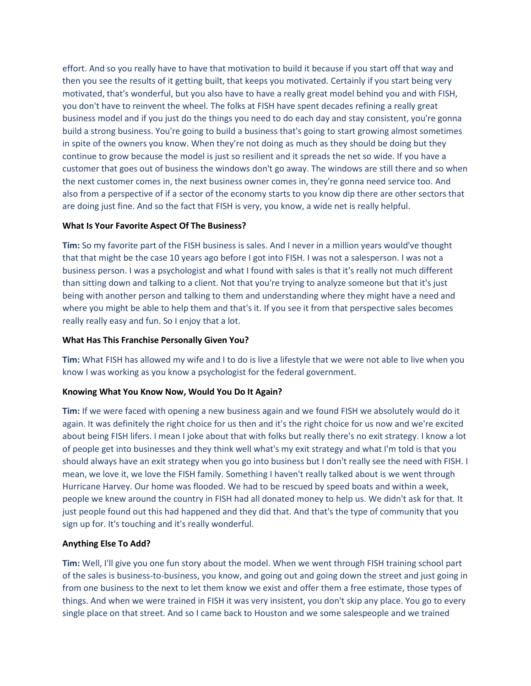effort. And so you really have to have that motivation to build it because if you start off that way and then you see the results of it getting built, that keeps you motivated. Certainly if you start being very motivated, that's wonderful, but you also have to have a really great model behind you and with FISH, you don't have to reinvent the wheel. The folks at FISH have spent decades refining a really great business model and if you just do the things you need to do each day and stay consistent, you're gonna build a strong business. You're going to build a business that's going to start growing almost sometimes in spite of the owners you know. When they're not doing as much as they should be doing but they continue to grow because the model is just so resilient and it spreads the net so wide. If you have a customer that goes out of business the windows don't go away. The windows are still there and so when the next customer comes in, the next business owner comes in, they're gonna need service too. And also from a perspective of if a sector of the economy starts to you know dip there are other sectors that are doing just fine. And so the fact that FISH is very, you know, a wide net is really helpful.

# **What Is Your Favorite Aspect Of The Business?**

**Tim:** So my favorite part of the FISH business is sales. And I never in a million years would've thought that that might be the case 10 years ago before I got into FISH. I was not a salesperson. I was not a business person. I was a psychologist and what I found with sales is that it's really not much different than sitting down and talking to a client. Not that you're trying to analyze someone but that it's just being with another person and talking to them and understanding where they might have a need and where you might be able to help them and that's it. If you see it from that perspective sales becomes really really easy and fun. So I enjoy that a lot.

### **What Has This Franchise Personally Given You?**

**Tim:** What FISH has allowed my wife and I to do is live a lifestyle that we were not able to live when you know I was working as you know a psychologist for the federal government.

### **Knowing What You Know Now, Would You Do It Again?**

**Tim:** If we were faced with opening a new business again and we found FISH we absolutely would do it again. It was definitely the right choice for us then and it's the right choice for us now and we're excited about being FISH lifers. I mean I joke about that with folks but really there's no exit strategy. I know a lot of people get into businesses and they think well what's my exit strategy and what I'm told is that you should always have an exit strategy when you go into business but I don't really see the need with FISH. I mean, we love it, we love the FISH family. Something I haven't really talked about is we went through Hurricane Harvey. Our home was flooded. We had to be rescued by speed boats and within a week, people we knew around the country in FISH had all donated money to help us. We didn't ask for that. It just people found out this had happened and they did that. And that's the type of community that you sign up for. It's touching and it's really wonderful.

# **Anything Else To Add?**

**Tim:** Well, I'll give you one fun story about the model. When we went through FISH training school part of the sales is business-to-business, you know, and going out and going down the street and just going in from one business to the next to let them know we exist and offer them a free estimate, those types of things. And when we were trained in FISH it was very insistent, you don't skip any place. You go to every single place on that street. And so I came back to Houston and we some salespeople and we trained